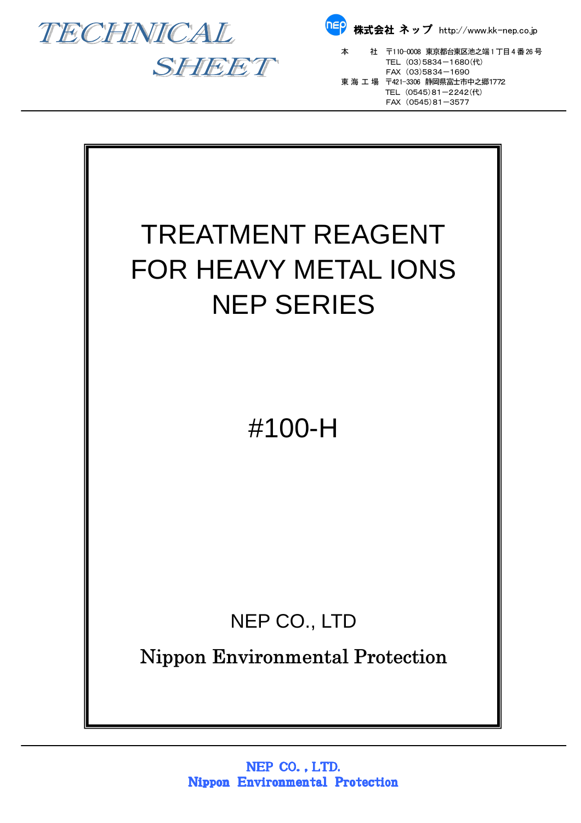





本 社 〒110-0008 東京都台東区池之端 1 丁目 4 番 26 号<br>TEL(03)5834-1680(代)  $FAX (03)5834 - 1690$  東 海 工 場 〒421-3306 静岡県富士市中之郷1772 TEL (0545)81-2242(代) FAX (0545)81-3577

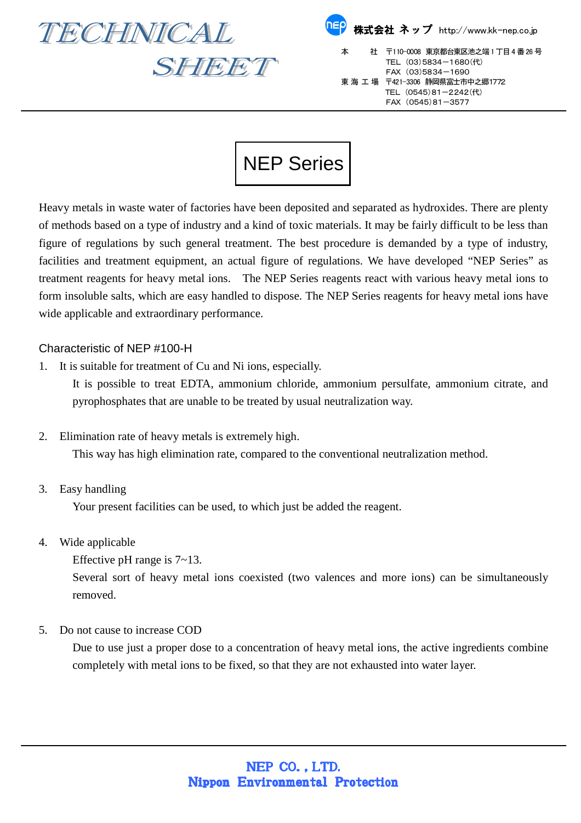

SHEET

| <mark>『『</mark> 》株式会社 ネップ http://www.kk-nep.co.jp |                                                                                                                                                            |
|---------------------------------------------------|------------------------------------------------------------------------------------------------------------------------------------------------------------|
| 本                                                 | 社 〒110-0008 東京都台東区池之端1丁目4番26号<br>TEL (03)5834-1680(代)<br>FAX (03)5834-1690<br>東 海 工 場 〒421-3306 静岡県富士市中之郷1772<br>TEL (0545)81-2242(代)<br>FAX (0545)81-3577 |

## NEP Series

Heavy metals in waste water of factories have been deposited and separated as hydroxides. There are plenty of methods based on a type of industry and a kind of toxic materials. It may be fairly difficult to be less than figure of regulations by such general treatment. The best procedure is demanded by a type of industry, facilities and treatment equipment, an actual figure of regulations. We have developed "NEP Series" as treatment reagents for heavy metal ions. The NEP Series reagents react with various heavy metal ions to form insoluble salts, which are easy handled to dispose. The NEP Series reagents for heavy metal ions have wide applicable and extraordinary performance.

## Characteristic of NEP #100-H

1. It is suitable for treatment of Cu and Ni ions, especially.

It is possible to treat EDTA, ammonium chloride, ammonium persulfate, ammonium citrate, and pyrophosphates that are unable to be treated by usual neutralization way.

2. Elimination rate of heavy metals is extremely high.

This way has high elimination rate, compared to the conventional neutralization method.

3. Easy handling

Your present facilities can be used, to which just be added the reagent.

- 4. Wide applicable
	- Effective pH range is 7~13.

Several sort of heavy metal ions coexisted (two valences and more ions) can be simultaneously removed.

5. Do not cause to increase COD

Due to use just a proper dose to a concentration of heavy metal ions, the active ingredients combine completely with metal ions to be fixed, so that they are not exhausted into water layer.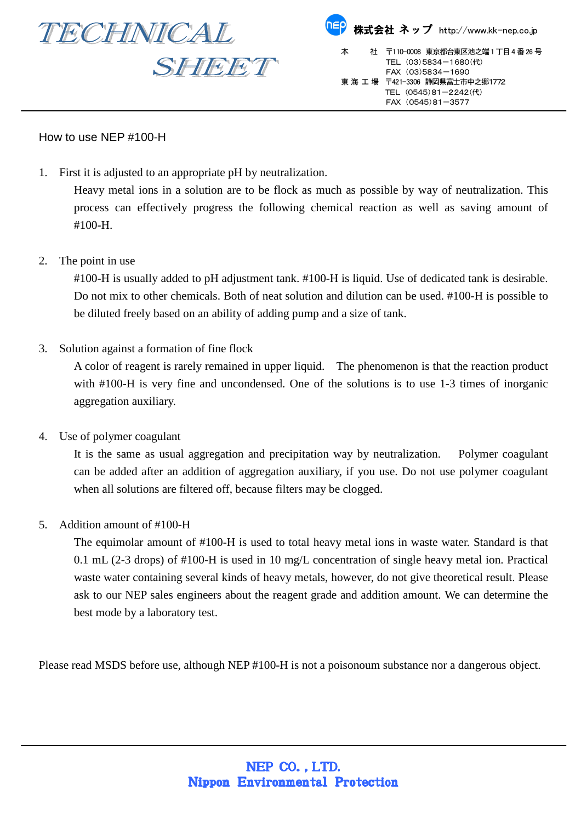

## How to use NEP #100-H

1. First it is adjusted to an appropriate pH by neutralization.

Heavy metal ions in a solution are to be flock as much as possible by way of neutralization. This process can effectively progress the following chemical reaction as well as saving amount of #100-H.

2. The point in use

#100-H is usually added to pH adjustment tank. #100-H is liquid. Use of dedicated tank is desirable. Do not mix to other chemicals. Both of neat solution and dilution can be used. #100-H is possible to be diluted freely based on an ability of adding pump and a size of tank.

3. Solution against a formation of fine flock

A color of reagent is rarely remained in upper liquid. The phenomenon is that the reaction product with #100-H is very fine and uncondensed. One of the solutions is to use 1-3 times of inorganic aggregation auxiliary.

4. Use of polymer coagulant

It is the same as usual aggregation and precipitation way by neutralization. Polymer coagulant can be added after an addition of aggregation auxiliary, if you use. Do not use polymer coagulant when all solutions are filtered off, because filters may be clogged.

5. Addition amount of #100-H

The equimolar amount of #100-H is used to total heavy metal ions in waste water. Standard is that 0.1 mL (2-3 drops) of #100-H is used in 10 mg/L concentration of single heavy metal ion. Practical waste water containing several kinds of heavy metals, however, do not give theoretical result. Please ask to our NEP sales engineers about the reagent grade and addition amount. We can determine the best mode by a laboratory test.

Please read MSDS before use, although NEP #100-H is not a poisonoum substance nor a dangerous object.